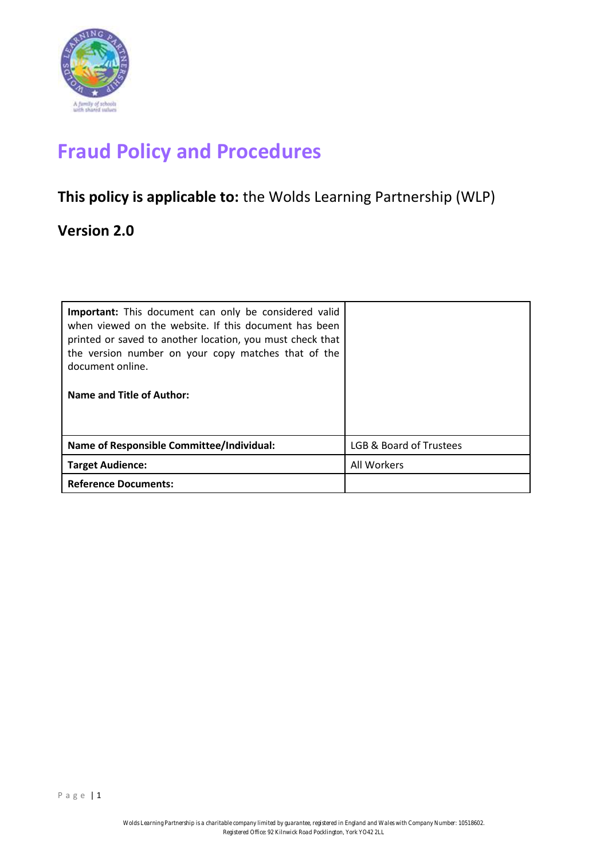

# **Fraud Policy and Procedures**

## **This policy is applicable to:** the Wolds Learning Partnership (WLP)

### **Version 2.0**

| Important: This document can only be considered valid<br>when viewed on the website. If this document has been<br>printed or saved to another location, you must check that<br>the version number on your copy matches that of the<br>document online.<br>Name and Title of Author: |                         |
|-------------------------------------------------------------------------------------------------------------------------------------------------------------------------------------------------------------------------------------------------------------------------------------|-------------------------|
| Name of Responsible Committee/Individual:                                                                                                                                                                                                                                           | LGB & Board of Trustees |
| <b>Target Audience:</b>                                                                                                                                                                                                                                                             | All Workers             |
| <b>Reference Documents:</b>                                                                                                                                                                                                                                                         |                         |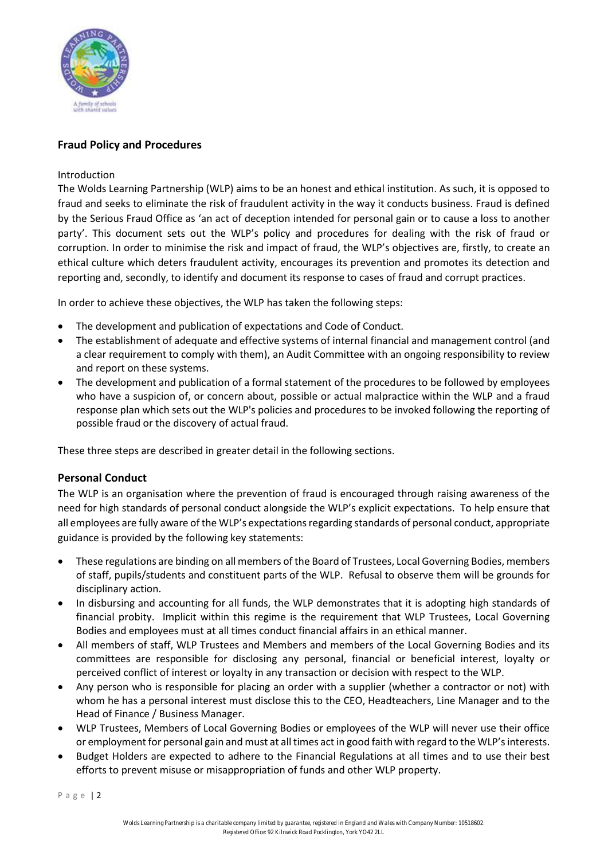

#### **Fraud Policy and Procedures**

#### Introduction

The Wolds Learning Partnership (WLP) aims to be an honest and ethical institution. As such, it is opposed to fraud and seeks to eliminate the risk of fraudulent activity in the way it conducts business. Fraud is defined by the Serious Fraud Office as 'an act of deception intended for personal gain or to cause a loss to another party'. This document sets out the WLP's policy and procedures for dealing with the risk of fraud or corruption. In order to minimise the risk and impact of fraud, the WLP's objectives are, firstly, to create an ethical culture which deters fraudulent activity, encourages its prevention and promotes its detection and reporting and, secondly, to identify and document its response to cases of fraud and corrupt practices.

In order to achieve these objectives, the WLP has taken the following steps:

- The development and publication of expectations and Code of Conduct.
- The establishment of adequate and effective systems of internal financial and management control (and a clear requirement to comply with them), an Audit Committee with an ongoing responsibility to review and report on these systems.
- The development and publication of a formal statement of the procedures to be followed by employees who have a suspicion of, or concern about, possible or actual malpractice within the WLP and a fraud response plan which sets out the WLP's policies and procedures to be invoked following the reporting of possible fraud or the discovery of actual fraud.

These three steps are described in greater detail in the following sections.

#### **Personal Conduct**

The WLP is an organisation where the prevention of fraud is encouraged through raising awareness of the need for high standards of personal conduct alongside the WLP's explicit expectations. To help ensure that all employees are fully aware of the WLP's expectations regarding standards of personal conduct, appropriate guidance is provided by the following key statements:

- These regulations are binding on all members of the Board of Trustees, Local Governing Bodies, members of staff, pupils/students and constituent parts of the WLP. Refusal to observe them will be grounds for disciplinary action.
- In disbursing and accounting for all funds, the WLP demonstrates that it is adopting high standards of financial probity. Implicit within this regime is the requirement that WLP Trustees, Local Governing Bodies and employees must at all times conduct financial affairs in an ethical manner.
- All members of staff, WLP Trustees and Members and members of the Local Governing Bodies and its committees are responsible for disclosing any personal, financial or beneficial interest, loyalty or perceived conflict of interest or loyalty in any transaction or decision with respect to the WLP.
- Any person who is responsible for placing an order with a supplier (whether a contractor or not) with whom he has a personal interest must disclose this to the CEO, Headteachers, Line Manager and to the Head of Finance / Business Manager.
- WLP Trustees, Members of Local Governing Bodies or employees of the WLP will never use their office or employment for personal gain and must at all times act in good faith with regard to the WLP's interests.
- Budget Holders are expected to adhere to the Financial Regulations at all times and to use their best efforts to prevent misuse or misappropriation of funds and other WLP property.

Page 2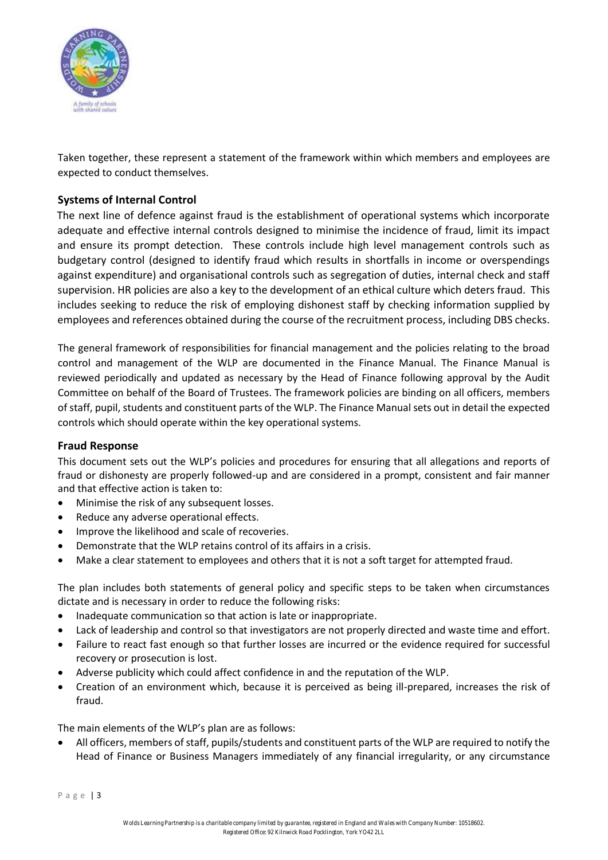

Taken together, these represent a statement of the framework within which members and employees are expected to conduct themselves.

#### **Systems of Internal Control**

The next line of defence against fraud is the establishment of operational systems which incorporate adequate and effective internal controls designed to minimise the incidence of fraud, limit its impact and ensure its prompt detection. These controls include high level management controls such as budgetary control (designed to identify fraud which results in shortfalls in income or overspendings against expenditure) and organisational controls such as segregation of duties, internal check and staff supervision. HR policies are also a key to the development of an ethical culture which deters fraud. This includes seeking to reduce the risk of employing dishonest staff by checking information supplied by employees and references obtained during the course of the recruitment process, including DBS checks.

The general framework of responsibilities for financial management and the policies relating to the broad control and management of the WLP are documented in the Finance Manual. The Finance Manual is reviewed periodically and updated as necessary by the Head of Finance following approval by the Audit Committee on behalf of the Board of Trustees. The framework policies are binding on all officers, members of staff, pupil, students and constituent parts of the WLP. The Finance Manual sets out in detail the expected controls which should operate within the key operational systems.

#### **Fraud Response**

This document sets out the WLP's policies and procedures for ensuring that all allegations and reports of fraud or dishonesty are properly followed-up and are considered in a prompt, consistent and fair manner and that effective action is taken to:

- Minimise the risk of any subsequent losses.
- Reduce any adverse operational effects.
- Improve the likelihood and scale of recoveries.
- Demonstrate that the WLP retains control of its affairs in a crisis.
- Make a clear statement to employees and others that it is not a soft target for attempted fraud.

The plan includes both statements of general policy and specific steps to be taken when circumstances dictate and is necessary in order to reduce the following risks:

- Inadequate communication so that action is late or inappropriate.
- Lack of leadership and control so that investigators are not properly directed and waste time and effort.
- Failure to react fast enough so that further losses are incurred or the evidence required for successful recovery or prosecution is lost.
- Adverse publicity which could affect confidence in and the reputation of the WLP.
- Creation of an environment which, because it is perceived as being ill-prepared, increases the risk of fraud.

The main elements of the WLP's plan are as follows:

• All officers, members of staff, pupils/students and constituent parts of the WLP are required to notify the Head of Finance or Business Managers immediately of any financial irregularity, or any circumstance

P a g e | 3